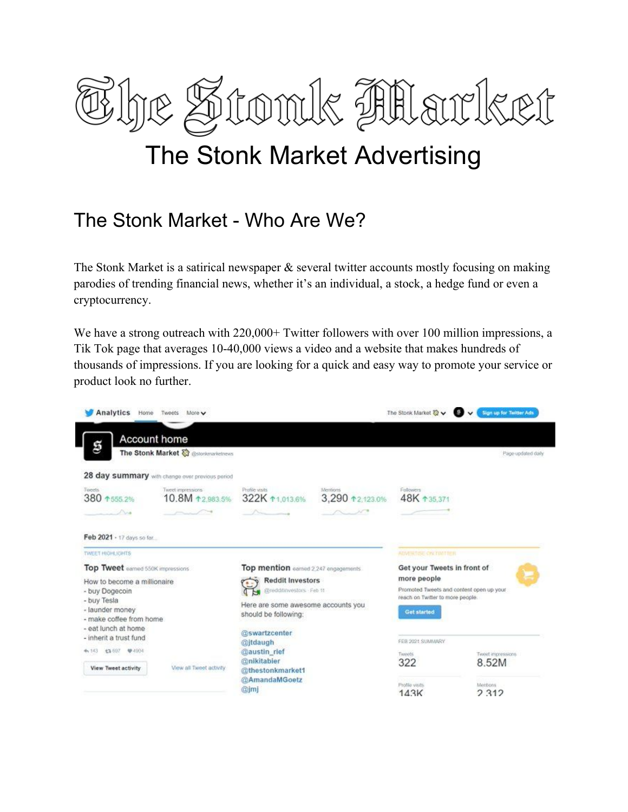

## The Stonk Market Advertising

## The Stonk Market - Who Are We?

The Stonk Market is a satirical newspaper  $\&$  several twitter accounts mostly focusing on making parodies of trending financial news, whether it's an individual, a stock, a hedge fund or even a cryptocurrency.

We have a strong outreach with 220,000+ Twitter followers with over 100 million impressions, a Tik Tok page that averages 10-40,000 views a video and a website that makes hundreds of thousands of impressions. If you are looking for a quick and easy way to promote your service or product look no further.

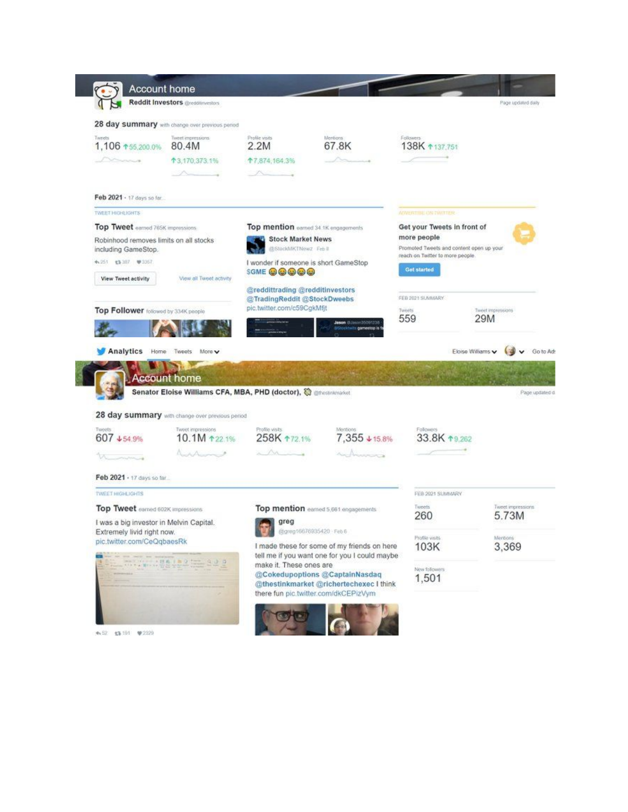

★52 \$3.191 ♥2329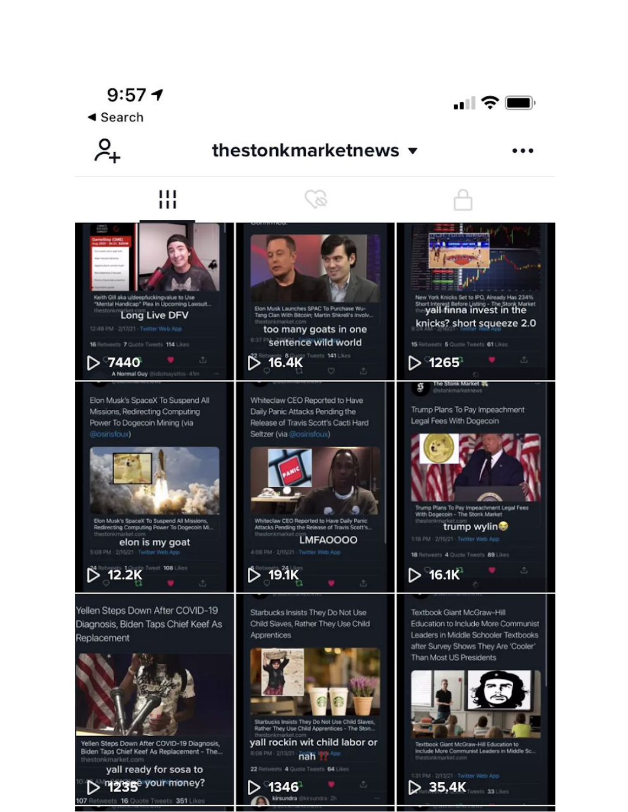